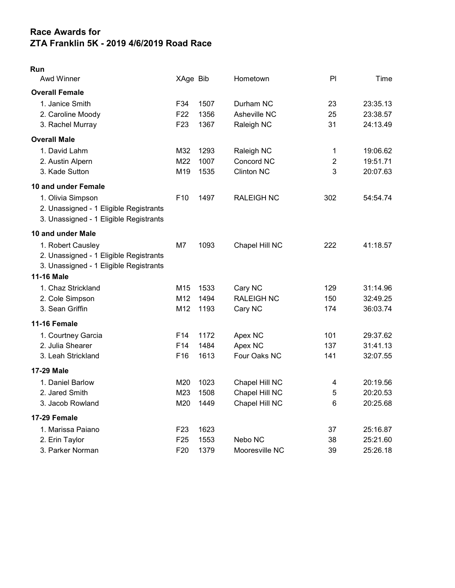## Race Awards for ZTA Franklin 5K - 2019 4/6/2019 Road Race

## Run

| Awd Winner                             | XAge Bib        |      | Hometown          | PI             | Time     |
|----------------------------------------|-----------------|------|-------------------|----------------|----------|
| <b>Overall Female</b>                  |                 |      |                   |                |          |
| 1. Janice Smith                        | F34             | 1507 | Durham NC         | 23             | 23:35.13 |
| 2. Caroline Moody                      | F <sub>22</sub> | 1356 | Asheville NC      | 25             | 23:38.57 |
| 3. Rachel Murray                       | F <sub>23</sub> | 1367 | Raleigh NC        | 31             | 24:13.49 |
| <b>Overall Male</b>                    |                 |      |                   |                |          |
| 1. David Lahm                          | M32             | 1293 | Raleigh NC        | $\mathbf{1}$   | 19:06.62 |
| 2. Austin Alpern                       | M22             | 1007 | Concord NC        | $\overline{2}$ | 19:51.71 |
| 3. Kade Sutton                         | M19             | 1535 | <b>Clinton NC</b> | 3              | 20:07.63 |
| 10 and under Female                    |                 |      |                   |                |          |
| 1. Olivia Simpson                      | F <sub>10</sub> | 1497 | <b>RALEIGH NC</b> | 302            | 54:54.74 |
| 2. Unassigned - 1 Eligible Registrants |                 |      |                   |                |          |
| 3. Unassigned - 1 Eligible Registrants |                 |      |                   |                |          |
| 10 and under Male                      |                 |      |                   |                |          |
| 1. Robert Causley                      | M7              | 1093 | Chapel Hill NC    | 222            | 41:18.57 |
| 2. Unassigned - 1 Eligible Registrants |                 |      |                   |                |          |
| 3. Unassigned - 1 Eligible Registrants |                 |      |                   |                |          |
| <b>11-16 Male</b>                      |                 |      |                   |                |          |
| 1. Chaz Strickland                     | M15             | 1533 | Cary NC           | 129            | 31:14.96 |
| 2. Cole Simpson                        | M12             | 1494 | <b>RALEIGH NC</b> | 150            | 32:49.25 |
| 3. Sean Griffin                        | M12             | 1193 | Cary NC           | 174            | 36:03.74 |
| 11-16 Female                           |                 |      |                   |                |          |
| 1. Courtney Garcia                     | F14             | 1172 | Apex NC           | 101            | 29:37.62 |
| 2. Julia Shearer                       | F14             | 1484 | Apex NC           | 137            | 31:41.13 |
| 3. Leah Strickland                     | F16             | 1613 | Four Oaks NC      | 141            | 32:07.55 |
| 17-29 Male                             |                 |      |                   |                |          |
| 1. Daniel Barlow                       | M20             | 1023 | Chapel Hill NC    | 4              | 20:19.56 |
| 2. Jared Smith                         | M23             | 1508 | Chapel Hill NC    | 5              | 20:20.53 |
| 3. Jacob Rowland                       | M20             | 1449 | Chapel Hill NC    | 6              | 20:25.68 |
| 17-29 Female                           |                 |      |                   |                |          |
| 1. Marissa Paiano                      | F <sub>23</sub> | 1623 |                   | 37             | 25:16.87 |
| 2. Erin Taylor                         | F <sub>25</sub> | 1553 | Nebo NC           | 38             | 25:21.60 |
| 3. Parker Norman                       | F <sub>20</sub> | 1379 | Mooresville NC    | 39             | 25:26.18 |